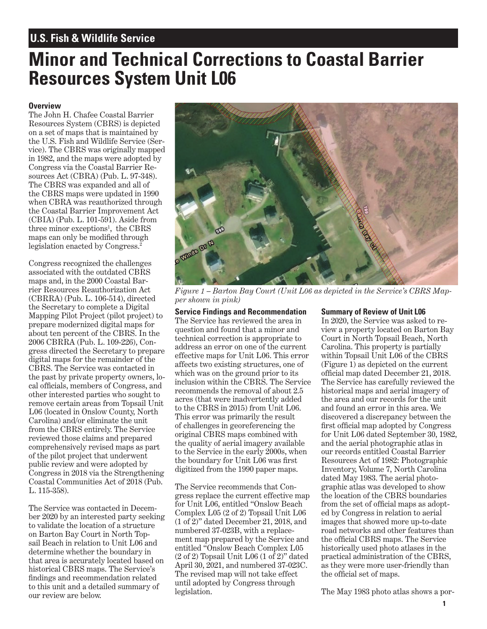## **U.S. Fish & Wildlife Service**

## **Minor and Technical Corrections to Coastal Barrier Resources System Unit L06**

## **Overview**

legislation enacted by Congress.<sup>2</sup> The John H. Chafee Coastal Barrier Resources System (CBRS) is depicted on a set of maps that is maintained by the U.S. Fish and Wildlife Service (Service). The CBRS was originally mapped in 1982, and the maps were adopted by Congress via the Coastal Barrier Resources Act (CBRA) (Pub. L. 97-348). The CBRS was expanded and all of the CBRS maps were updated in 1990 when CBRA was reauthorized through the Coastal Barrier Improvement Act  $(CBIA)$  (Pub. L. 101-591). Aside from three minor exceptions<sup>1</sup>, the CBRS maps can only be modifed through

Congress recognized the challenges associated with the outdated CBRS maps and, in the 2000 Coastal Barrier Resources Reauthorization Act (CBRRA) (Pub. L. 106-514), directed the Secretary to complete a Digital Caroline and Recommendation<br>
Mapping Pilot Project (pilot project) to<br>
Service Findings and Recommendation<br>
prepare modernized digital maps for<br>
question and found that a minor and<br>
abo

The Service was contacted in Decem-<br>
ber 2020 by an interested party seeking  $(10^2)^n$  dones to validate the location of a structure<br>
to validate the location of a structure<br>
to validate the location of a structure<br>  $\frac{1$ 



*Figure 1 – Barton Bay Court (Unit L06 as depicted in the Service's CBRS Mapper shown in pink)*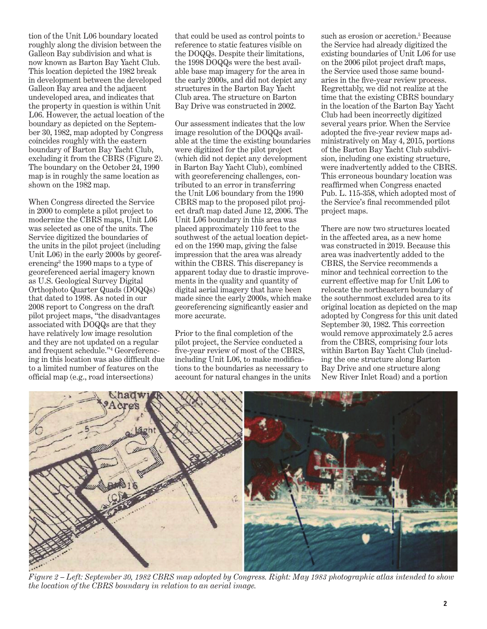tion of the Unit L06 boundary located that could be used as control points to roughly along the division between the reference to static features visible on the Service had already digitized the Galleon Bay subdivision and what is the DOQQs. Despite their limitations, existing boundaries of Unit L06 for use now known as Barton Bay Yacht Club. the 1998 DOQQs were the best avail- on the 2006 pilot project draft maps, This location depicted the 1982 break able base map imagery for the area in the Service used those same boundin development between the developed the early 2000s, and did not depict any aries in the five-year review process. Galleon Bay area and the adjacent structures in the Barton Bay Yacht Regrettably, we did not realize at the undeveloped area, and indicates that Club area. The structure on Barton time that the existing CBRS boundary the property in question is within Unit Bay Drive was constructed in 2002. in the location of the Barton Bay Yacht L06. However, the actual location of the Club had been incorrectly digitized

modernize the CBRS maps, Unit L06 Unit L06 boundary in this area was Unit  $L(6)$  in the early 2000s by georeferencing<sup>3</sup> the 1990 maps to a type of georeferenced aerial imagery known apparent today due to drastic improveassociated with DOQQs are that they September 30, 1982. This correction and frequent schedule."4 Georeferenc-

boundary as depicted on the Septem- Our assessment indicates that the low several years prior. When the Service ber 30, 1982, map adopted by Congress image resolution of the DOQQs avail- adopted the fve-year review maps adcoincides roughly with the eastern able at the time the existing boundaries ministratively on May 4, 2015, portions boundary of Barton Bay Yacht Club, were digitized for the pilot project of the Barton Bay Yacht Club subdiviexcluding it from the CBRS (Figure 2). (which did not depict any development sion, including one existing structure, The boundary on the October 24, 1990 in Barton Bay Yacht Club), combined were inadvertently added to the CBRS. map is in roughly the same location as with georeferencing challenges, con-<br>shown on the 1982 map. tributed to an error in transferring reaffirmed when Congress enacted tributed to an error in transferring reaffirmed when Congress enacted the Unit L06 boundary from the 1990 Pub. L. 115-358, which adopted most of When Congress directed the Service CBRS map to the proposed pilot proj-<br>the Service's final recommended pilot in 2000 to complete a pilot project to ect draft map dated June 12, 2006. The project maps. was selected as one of the units. The placed approximately 110 feet to the There are now two structures located Service digitized the boundaries of southwest of the actual location depict- in the affected area, as a new home<br>the units in the pilot project (including ed on the 1990 map, giving the false was constructed in 2019. Becau the units in the pilot project (including ed on the 1990 map, giving the false was constructed in 2019. Because this Unit L06) in the early 2000s by georef-<br>Unit L06) in the early 2000s by georef-<br>Impression that the area within the CBRS. This discrepancy is CBRS, the Service recommends a apparent today due to drastic improve- minor and technical correction to the as U.S. Geological Survey Digital ments in the quality and quantity of current effective map for Unit L06 to Orthophoto Quarter Quads (DOQQs) digital aerial imagery that have been relocate the northeastern boundary of that dated to 1998. As noted in our made since the early 2000s, which make the southernmost excluded area to its made since the early 2000s, which make 2008 report to Congress on the draft georeferencing signifcantly easier and original location as depicted on the map pilot project maps, "the disadvantages more accurate. adopted by Congress for this unit dated

have relatively low image resolution Prior to the final completion of the would remove approximately 2.5 acres and they are not updated on a regular pilot project, the Service conducted a from the CBRS, comprising four lots five-year review of most of the CBRS, within Barton Bay Yacht Club (including in this location was also diffcult due including Unit L06, to make modifca- ing the one structure along Barton to a limited number of features on the tions to the boundaries as necessary to Bay Drive and one structure along offcial map (e.g., road intersections) account for natural changes in the units New River Inlet Road) and a portion

such as erosion or accretion.<sup>5</sup> Because



*Figure 2 – Left: September 30, 1982 CBRS map adopted by Congress. Right: May 1983 photographic atlas intended to show the location of the CBRS boundary in relation to an aerial image.*